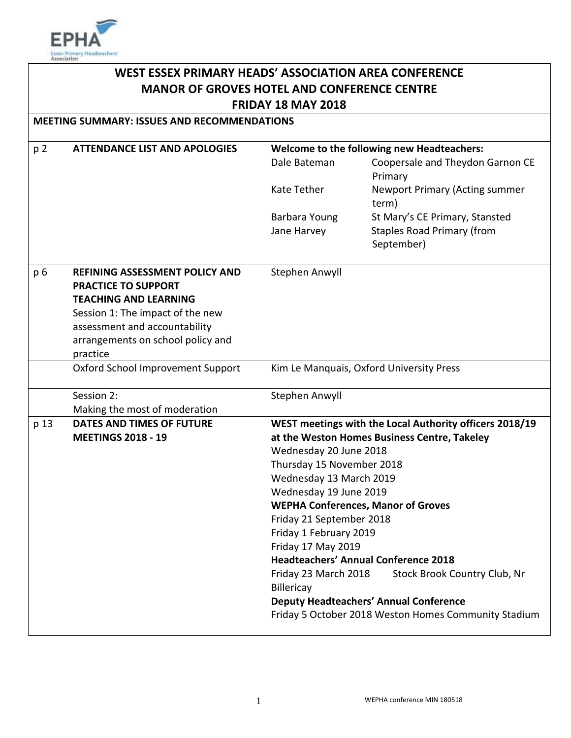

# **WEST ESSEX PRIMARY HEADS' ASSOCIATION AREA CONFERENCE MANOR OF GROVES HOTEL AND CONFERENCE CENTRE FRIDAY 18 MAY 2018**

**MEETING SUMMARY: ISSUES AND RECOMMENDATIONS**

| p <sub>2</sub> | <b>ATTENDANCE LIST AND APOLOGIES</b> | Welcome to the following new Headteachers:              |                                                      |  |
|----------------|--------------------------------------|---------------------------------------------------------|------------------------------------------------------|--|
|                |                                      | Dale Bateman                                            | Coopersale and Theydon Garnon CE<br>Primary          |  |
|                |                                      | Kate Tether                                             | <b>Newport Primary (Acting summer</b><br>term)       |  |
|                |                                      | Barbara Young                                           | St Mary's CE Primary, Stansted                       |  |
|                |                                      | Jane Harvey                                             | <b>Staples Road Primary (from</b>                    |  |
|                |                                      |                                                         | September)                                           |  |
| p 6            | REFINING ASSESSMENT POLICY AND       | Stephen Anwyll                                          |                                                      |  |
|                | <b>PRACTICE TO SUPPORT</b>           |                                                         |                                                      |  |
|                | <b>TEACHING AND LEARNING</b>         |                                                         |                                                      |  |
|                | Session 1: The impact of the new     |                                                         |                                                      |  |
|                | assessment and accountability        |                                                         |                                                      |  |
|                | arrangements on school policy and    |                                                         |                                                      |  |
|                | practice                             |                                                         |                                                      |  |
|                | Oxford School Improvement Support    |                                                         | Kim Le Manquais, Oxford University Press             |  |
|                | Session 2:                           | Stephen Anwyll                                          |                                                      |  |
|                | Making the most of moderation        |                                                         |                                                      |  |
| p 13           | <b>DATES AND TIMES OF FUTURE</b>     | WEST meetings with the Local Authority officers 2018/19 |                                                      |  |
|                | <b>MEETINGS 2018 - 19</b>            | at the Weston Homes Business Centre, Takeley            |                                                      |  |
|                |                                      |                                                         | Wednesday 20 June 2018                               |  |
|                |                                      | Thursday 15 November 2018                               |                                                      |  |
|                |                                      | Wednesday 13 March 2019                                 |                                                      |  |
|                |                                      | Wednesday 19 June 2019                                  |                                                      |  |
|                |                                      | <b>WEPHA Conferences, Manor of Groves</b>               |                                                      |  |
|                |                                      | Friday 21 September 2018                                |                                                      |  |
|                |                                      | Friday 1 February 2019                                  |                                                      |  |
|                |                                      | Friday 17 May 2019                                      |                                                      |  |
|                |                                      |                                                         | <b>Headteachers' Annual Conference 2018</b>          |  |
|                |                                      | Friday 23 March 2018<br>Billericay                      | Stock Brook Country Club, Nr                         |  |
|                |                                      | <b>Deputy Headteachers' Annual Conference</b>           |                                                      |  |
|                |                                      |                                                         | Friday 5 October 2018 Weston Homes Community Stadium |  |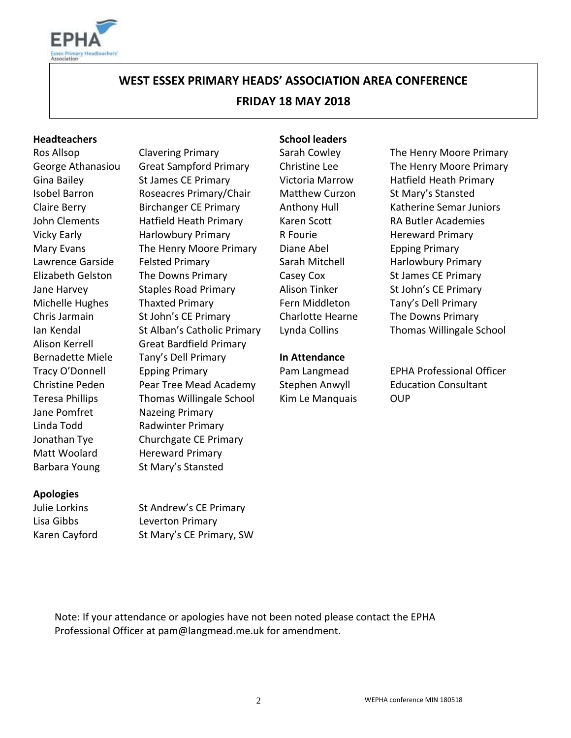

# **WEST ESSEX PRIMARY HEADS' ASSOCIATION AREA CONFERENCE FRIDAY 18 MAY 2018**

#### **Headteachers School leaders**

Jane Pomfret Nazeing Primary Linda Todd Radwinter Primary Matt Woolard Hereward Primary Barbara Young St Mary's Stansted

Gina Bailey St James CE Primary Victoria Marrow Hatfield Heath Primary Isobel Barron Roseacres Primary/Chair Matthew Curzon St Mary's Stansted Claire Berry Birchanger CE Primary Anthony Hull Katherine Semar Juniors John Clements Hatfield Heath Primary Karen Scott RA Butler Academies Vicky Early **Harlowbury Primary** R Fourie **Hereward Primary** Mary Evans **The Henry Moore Primary** Diane Abel **Epping Primary** Lawrence Garside Felsted Primary The Sarah Mitchell Tharlowbury Primary Elizabeth Gelston The Downs Primary Casey Cox St James CE Primary Jane Harvey **Staples Road Primary** Alison Tinker St John's CE Primary Michelle Hughes Thaxted Primary Fern Middleton Tany's Dell Primary Chris Jarmain St John's CE Primary Charlotte Hearne The Downs Primary Ian Kendal St Alban's Catholic Primary Lynda Collins Thomas Willingale School Alison Kerrell Great Bardfield Primary Bernadette Miele Tany's Dell Primary **In Attendance** Tracy O'Donnell Epping Primary Pam Langmead EPHA Professional Officer Christine Peden Pear Tree Mead Academy Stephen Anwyll Education Consultant Teresa Phillips Thomas Willingale School Kim Le Manquais OUP Jonathan Tye Churchgate CE Primary

Ros Allsop **Clavering Primary** Sarah Cowley The Henry Moore Primary George Athanasiou Great Sampford Primary Christine Lee The Henry Moore Primary

#### **Apologies**

Julie Lorkins St Andrew's CE Primary Lisa Gibbs Leverton Primary Karen Cayford St Mary's CE Primary, SW

Note: If your attendance or apologies have not been noted please contact the EPHA Professional Officer at pam@langmead.me.uk for amendment.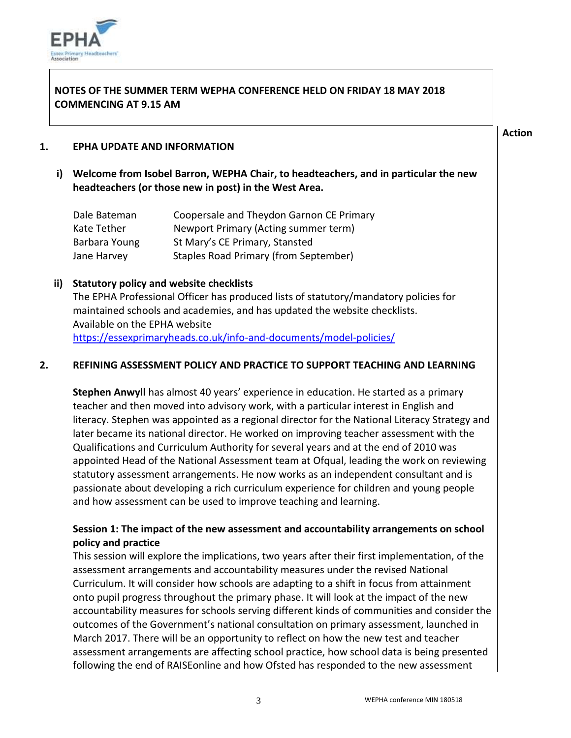

#### **NOTES OF THE SUMMER TERM WEPHA CONFERENCE HELD ON FRIDAY 18 MAY 2018 COMMENCING AT 9.15 AM**

#### **Action**

#### **1. EPHA UPDATE AND INFORMATION**

**i) Welcome from Isobel Barron, WEPHA Chair, to headteachers, and in particular the new headteachers (or those new in post) in the West Area.** 

| Dale Bateman  | Coopersale and Theydon Garnon CE Primary |
|---------------|------------------------------------------|
| Kate Tether   | Newport Primary (Acting summer term)     |
| Barbara Young | St Mary's CE Primary, Stansted           |
| Jane Harvey   | Staples Road Primary (from September)    |

#### **ii) Statutory policy and website checklists**

The EPHA Professional Officer has produced lists of statutory/mandatory policies for maintained schools and academies, and has updated the website checklists. Available on the EPHA website

<https://essexprimaryheads.co.uk/info-and-documents/model-policies/>

#### **2. REFINING ASSESSMENT POLICY AND PRACTICE TO SUPPORT TEACHING AND LEARNING**

**Stephen Anwyll** has almost 40 years' experience in education. He started as a primary teacher and then moved into advisory work, with a particular interest in English and literacy. Stephen was appointed as a regional director for the National Literacy Strategy and later became its national director. He worked on improving teacher assessment with the Qualifications and Curriculum Authority for several years and at the end of 2010 was appointed Head of the National Assessment team at Ofqual, leading the work on reviewing statutory assessment arrangements. He now works as an independent consultant and is passionate about developing a rich curriculum experience for children and young people and how assessment can be used to improve teaching and learning.

#### **Session 1: The impact of the new assessment and accountability arrangements on school policy and practice**

This session will explore the implications, two years after their first implementation, of the assessment arrangements and accountability measures under the revised National Curriculum. It will consider how schools are adapting to a shift in focus from attainment onto pupil progress throughout the primary phase. It will look at the impact of the new accountability measures for schools serving different kinds of communities and consider the outcomes of the Government's national consultation on primary assessment, launched in March 2017. There will be an opportunity to reflect on how the new test and teacher assessment arrangements are affecting school practice, how school data is being presented following the end of RAISEonline and how Ofsted has responded to the new assessment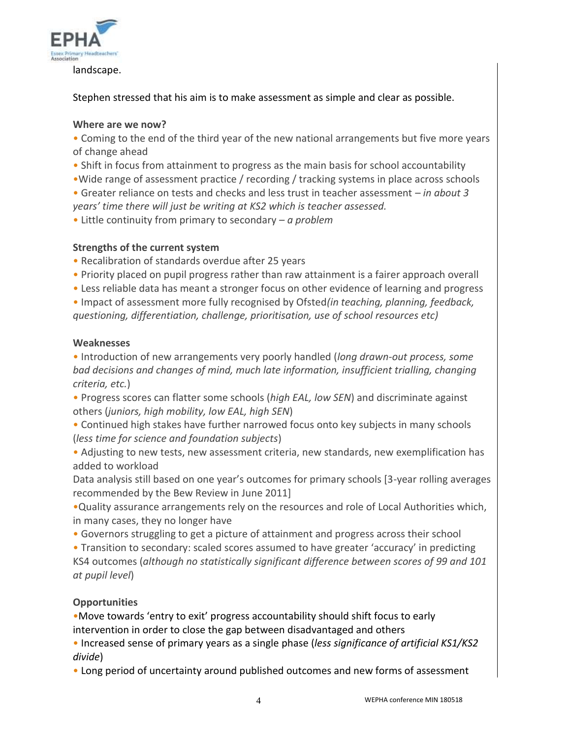

landscape.

#### Stephen stressed that his aim is to make assessment as simple and clear as possible.

#### **Where are we now?**

• Coming to the end of the third year of the new national arrangements but five more years of change ahead

- Shift in focus from attainment to progress as the main basis for school accountability
- •Wide range of assessment practice / recording / tracking systems in place across schools

• Greater reliance on tests and checks and less trust in teacher assessment – *in about 3 years' time there will just be writing at KS2 which is teacher assessed.*

• Little continuity from primary to secondary – *a problem*

#### **Strengths of the current system**

- Recalibration of standards overdue after 25 years
- Priority placed on pupil progress rather than raw attainment is a fairer approach overall
- Less reliable data has meant a stronger focus on other evidence of learning and progress

• Impact of assessment more fully recognised by Ofsted*(in teaching, planning, feedback, questioning, differentiation, challenge, prioritisation, use of school resources etc)*

#### **Weaknesses**

• Introduction of new arrangements very poorly handled (*long drawn-out process, some bad decisions and changes of mind, much late information, insufficient trialling, changing criteria, etc.*)

• Progress scores can flatter some schools (*high EAL, low SEN*) and discriminate against others (*juniors, high mobility, low EAL, high SEN*)

• Continued high stakes have further narrowed focus onto key subjects in many schools (*less time for science and foundation subjects*)

• Adjusting to new tests, new assessment criteria, new standards, new exemplification has added to workload

Data analysis still based on one year's outcomes for primary schools [3-year rolling averages recommended by the Bew Review in June 2011]

•Quality assurance arrangements rely on the resources and role of Local Authorities which, in many cases, they no longer have

• Governors struggling to get a picture of attainment and progress across their school

• Transition to secondary: scaled scores assumed to have greater 'accuracy' in predicting KS4 outcomes (*although no statistically significant difference between scores of 99 and 101 at pupil level*)

#### **Opportunities**

•Move towards 'entry to exit' progress accountability should shift focus to early intervention in order to close the gap between disadvantaged and others

• Increased sense of primary years as a single phase (*less significance of artificial KS1/KS2 divide*)

• Long period of uncertainty around published outcomes and new forms of assessment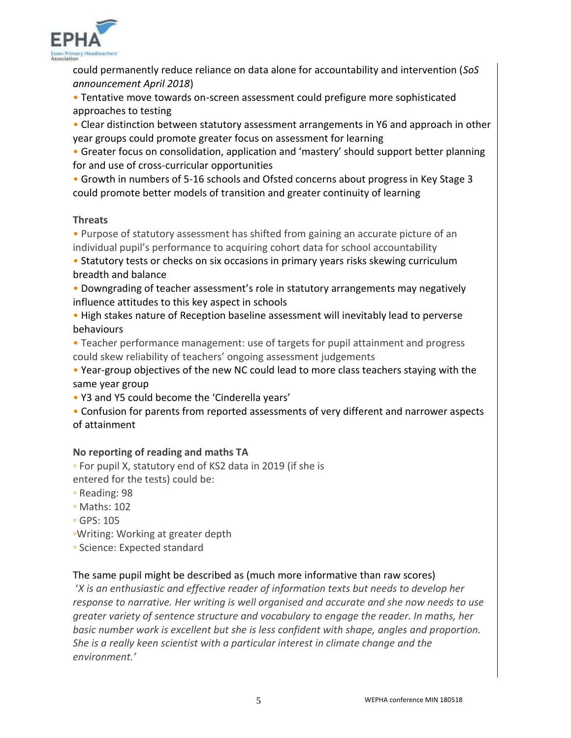

could permanently reduce reliance on data alone for accountability and intervention (*SoS announcement April 2018*)

• Tentative move towards on-screen assessment could prefigure more sophisticated approaches to testing

• Clear distinction between statutory assessment arrangements in Y6 and approach in other year groups could promote greater focus on assessment for learning

• Greater focus on consolidation, application and 'mastery' should support better planning for and use of cross-curricular opportunities

• Growth in numbers of 5-16 schools and Ofsted concerns about progress in Key Stage 3 could promote better models of transition and greater continuity of learning

#### **Threats**

• Purpose of statutory assessment has shifted from gaining an accurate picture of an individual pupil's performance to acquiring cohort data for school accountability

• Statutory tests or checks on six occasions in primary years risks skewing curriculum breadth and balance

• Downgrading of teacher assessment's role in statutory arrangements may negatively influence attitudes to this key aspect in schools

• High stakes nature of Reception baseline assessment will inevitably lead to perverse behaviours

• Teacher performance management: use of targets for pupil attainment and progress could skew reliability of teachers' ongoing assessment judgements

• Year-group objectives of the new NC could lead to more class teachers staying with the same year group

• Y3 and Y5 could become the 'Cinderella years'

• Confusion for parents from reported assessments of very different and narrower aspects of attainment

#### **No reporting of reading and maths TA**

◦ For pupil X, statutory end of KS2 data in 2019 (if she is entered for the tests) could be:

◦ Reading: 98

- Maths: 102
- GPS: 105
- ◦Writing: Working at greater depth
- Science: Expected standard

#### The same pupil might be described as (much more informative than raw scores)

'*X is an enthusiastic and effective reader of information texts but needs to develop her response to narrative. Her writing is well organised and accurate and she now needs to use greater variety of sentence structure and vocabulary to engage the reader. In maths, her basic number work is excellent but she is less confident with shape, angles and proportion. She is a really keen scientist with a particular interest in climate change and the environment.'*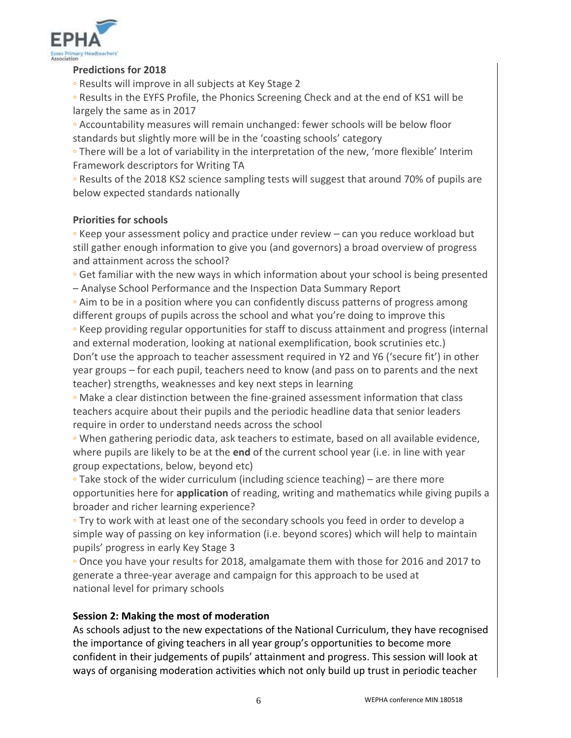

#### **Predictions for 2018**

◦ Results will improve in all subjects at Key Stage 2

◦ Results in the EYFS Profile, the Phonics Screening Check and at the end of KS1 will be largely the same as in 2017

◦ Accountability measures will remain unchanged: fewer schools will be below floor standards but slightly more will be in the 'coasting schools' category

◦ There will be a lot of variability in the interpretation of the new, 'more flexible' Interim Framework descriptors for Writing TA

◦ Results of the 2018 KS2 science sampling tests will suggest that around 70% of pupils are below expected standards nationally

#### **Priorities for schools**

◦ Keep your assessment policy and practice under review – can you reduce workload but still gather enough information to give you (and governors) a broad overview of progress and attainment across the school?

◦ Get familiar with the new ways in which information about your school is being presented – Analyse School Performance and the Inspection Data Summary Report

◦ Aim to be in a position where you can confidently discuss patterns of progress among different groups of pupils across the school and what you're doing to improve this

◦ Keep providing regular opportunities for staff to discuss attainment and progress (internal and external moderation, looking at national exemplification, book scrutinies etc.) Don't use the approach to teacher assessment required in Y2 and Y6 ('secure fit') in other year groups – for each pupil, teachers need to know (and pass on to parents and the next teacher) strengths, weaknesses and key next steps in learning

◦ Make a clear distinction between the fine-grained assessment information that class teachers acquire about their pupils and the periodic headline data that senior leaders require in order to understand needs across the school

◦ When gathering periodic data, ask teachers to estimate, based on all available evidence, where pupils are likely to be at the **end** of the current school year (i.e. in line with year group expectations, below, beyond etc)

◦ Take stock of the wider curriculum (including science teaching) – are there more opportunities here for **application** of reading, writing and mathematics while giving pupils a broader and richer learning experience?

◦ Try to work with at least one of the secondary schools you feed in order to develop a simple way of passing on key information (i.e. beyond scores) which will help to maintain pupils' progress in early Key Stage 3

◦ Once you have your results for 2018, amalgamate them with those for 2016 and 2017 to generate a three-year average and campaign for this approach to be used at national level for primary schools

#### **Session 2: Making the most of moderation**

As schools adjust to the new expectations of the National Curriculum, they have recognised the importance of giving teachers in all year group's opportunities to become more confident in their judgements of pupils' attainment and progress. This session will look at ways of organising moderation activities which not only build up trust in periodic teacher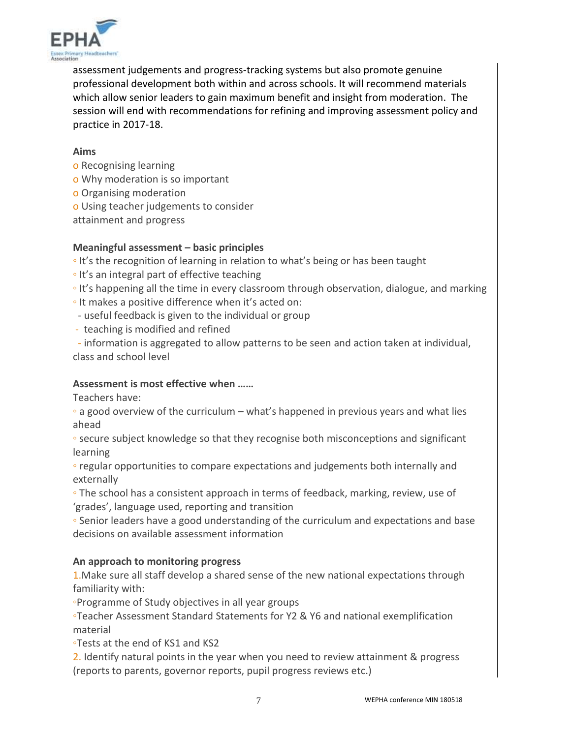

assessment judgements and progress-tracking systems but also promote genuine professional development both within and across schools. It will recommend materials which allow senior leaders to gain maximum benefit and insight from moderation. The session will end with recommendations for refining and improving assessment policy and practice in 2017-18.

#### **Aims**

- o Recognising learning
- o Why moderation is so important
- o Organising moderation
- o Using teacher judgements to consider
- attainment and progress

#### **Meaningful assessment – basic principles**

◦ It's the recognition of learning in relation to what's being or has been taught

- It's an integral part of effective teaching
- It's happening all the time in every classroom through observation, dialogue, and marking
- It makes a positive difference when it's acted on:
- useful feedback is given to the individual or group
- teaching is modified and refined

 - information is aggregated to allow patterns to be seen and action taken at individual, class and school level

#### **Assessment is most effective when ……**

Teachers have:

◦ a good overview of the curriculum – what's happened in previous years and what lies ahead

◦ secure subject knowledge so that they recognise both misconceptions and significant learning

◦ regular opportunities to compare expectations and judgements both internally and externally

◦ The school has a consistent approach in terms of feedback, marking, review, use of 'grades', language used, reporting and transition

◦ Senior leaders have a good understanding of the curriculum and expectations and base decisions on available assessment information

#### **An approach to monitoring progress**

1.Make sure all staff develop a shared sense of the new national expectations through familiarity with:

◦Programme of Study objectives in all year groups

◦Teacher Assessment Standard Statements for Y2 & Y6 and national exemplification material

◦Tests at the end of KS1 and KS2

2. Identify natural points in the year when you need to review attainment & progress (reports to parents, governor reports, pupil progress reviews etc.)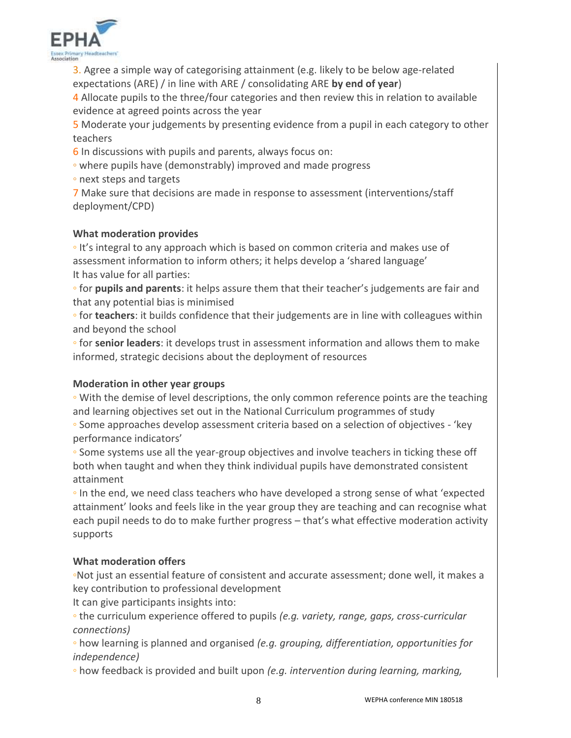

3. Agree a simple way of categorising attainment (e.g. likely to be below age-related expectations (ARE) / in line with ARE / consolidating ARE **by end of year**)

4 Allocate pupils to the three/four categories and then review this in relation to available evidence at agreed points across the year

5 Moderate your judgements by presenting evidence from a pupil in each category to other teachers

6 In discussions with pupils and parents, always focus on:

◦ where pupils have (demonstrably) improved and made progress

◦ next steps and targets

7 Make sure that decisions are made in response to assessment (interventions/staff deployment/CPD)

#### **What moderation provides**

◦ It's integral to any approach which is based on common criteria and makes use of assessment information to inform others; it helps develop a 'shared language' It has value for all parties:

◦ for **pupils and parents**: it helps assure them that their teacher's judgements are fair and that any potential bias is minimised

◦ for **teachers**: it builds confidence that their judgements are in line with colleagues within and beyond the school

◦ for **senior leaders**: it develops trust in assessment information and allows them to make informed, strategic decisions about the deployment of resources

#### **Moderation in other year groups**

◦ With the demise of level descriptions, the only common reference points are the teaching and learning objectives set out in the National Curriculum programmes of study

◦ Some approaches develop assessment criteria based on a selection of objectives - 'key performance indicators'

◦ Some systems use all the year-group objectives and involve teachers in ticking these off both when taught and when they think individual pupils have demonstrated consistent attainment

◦ In the end, we need class teachers who have developed a strong sense of what 'expected attainment' looks and feels like in the year group they are teaching and can recognise what each pupil needs to do to make further progress – that's what effective moderation activity supports

## **What moderation offers**

◦Not just an essential feature of consistent and accurate assessment; done well, it makes a key contribution to professional development

It can give participants insights into:

◦ the curriculum experience offered to pupils *(e.g. variety, range, gaps, cross-curricular connections)*

◦ how learning is planned and organised *(e.g. grouping, differentiation, opportunities for independence)*

◦ how feedback is provided and built upon *(e.g. intervention during learning, marking,*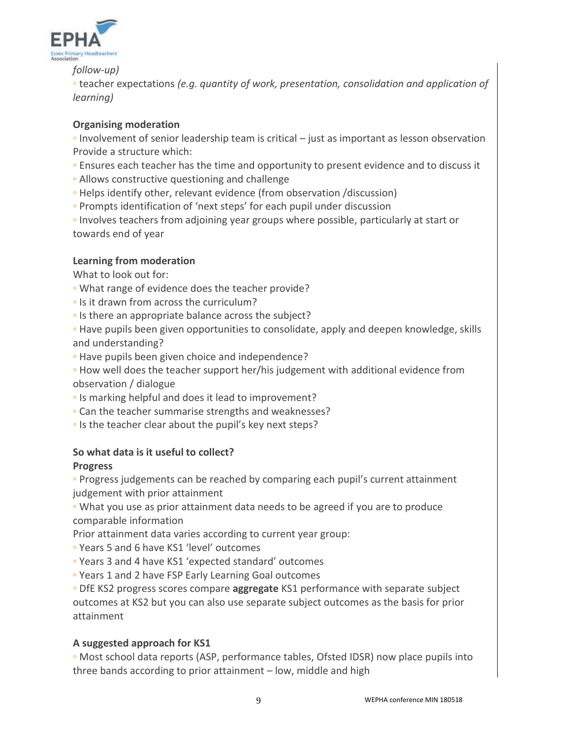

*follow-up)*

◦ teacher expectations *(e.g. quantity of work, presentation, consolidation and application of learning)*

#### **Organising moderation**

◦ Involvement of senior leadership team is critical – just as important as lesson observation Provide a structure which:

- Ensures each teacher has the time and opportunity to present evidence and to discuss it
- Allows constructive questioning and challenge
- Helps identify other, relevant evidence (from observation /discussion)
- Prompts identification of 'next steps' for each pupil under discussion

◦ Involves teachers from adjoining year groups where possible, particularly at start or towards end of year

#### **Learning from moderation**

What to look out for:

- What range of evidence does the teacher provide?
- Is it drawn from across the curriculum?
- Is there an appropriate balance across the subject?

◦ Have pupils been given opportunities to consolidate, apply and deepen knowledge, skills and understanding?

- Have pupils been given choice and independence?
- How well does the teacher support her/his judgement with additional evidence from observation / dialogue
- Is marking helpful and does it lead to improvement?
- Can the teacher summarise strengths and weaknesses?
- Is the teacher clear about the pupil's key next steps?

#### **So what data is it useful to collect?**

#### **Progress**

◦ Progress judgements can be reached by comparing each pupil's current attainment judgement with prior attainment

◦ What you use as prior attainment data needs to be agreed if you are to produce comparable information

Prior attainment data varies according to current year group:

- Years 5 and 6 have KS1 'level' outcomes
- Years 3 and 4 have KS1 'expected standard' outcomes
- Years 1 and 2 have FSP Early Learning Goal outcomes

◦ DfE KS2 progress scores compare **aggregate** KS1 performance with separate subject outcomes at KS2 but you can also use separate subject outcomes as the basis for prior attainment

#### **A suggested approach for KS1**

◦ Most school data reports (ASP, performance tables, Ofsted IDSR) now place pupils into three bands according to prior attainment – low, middle and high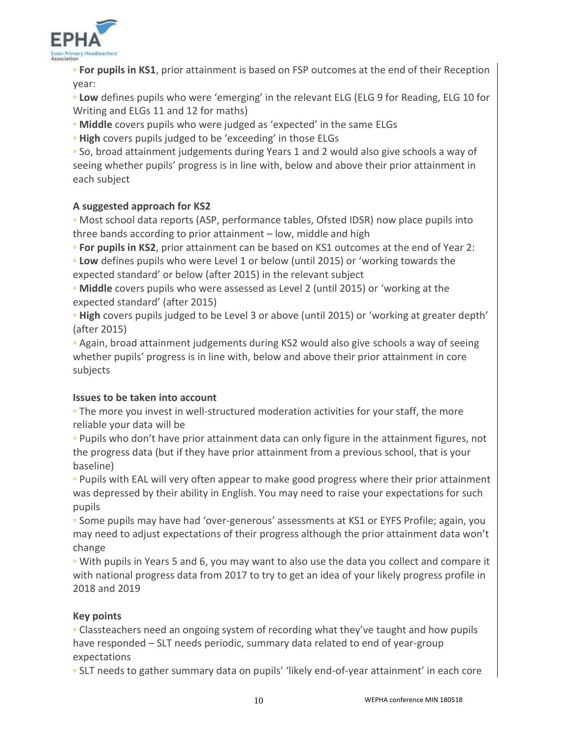

◦ **For pupils in KS1**, prior attainment is based on FSP outcomes at the end of their Reception year:

◦ **Low** defines pupils who were 'emerging' in the relevant ELG (ELG 9 for Reading, ELG 10 for Writing and ELGs 11 and 12 for maths)

◦ **Middle** covers pupils who were judged as 'expected' in the same ELGs

◦ **High** covers pupils judged to be 'exceeding' in those ELGs

◦ So, broad attainment judgements during Years 1 and 2 would also give schools a way of seeing whether pupils' progress is in line with, below and above their prior attainment in each subject

### **A suggested approach for KS2**

◦ Most school data reports (ASP, performance tables, Ofsted IDSR) now place pupils into three bands according to prior attainment – low, middle and high

◦ **For pupils in KS2**, prior attainment can be based on KS1 outcomes at the end of Year 2:

◦ **Low** defines pupils who were Level 1 or below (until 2015) or 'working towards the expected standard' or below (after 2015) in the relevant subject

◦ **Middle** covers pupils who were assessed as Level 2 (until 2015) or 'working at the expected standard' (after 2015)

◦ **High** covers pupils judged to be Level 3 or above (until 2015) or 'working at greater depth' (after 2015)

◦ Again, broad attainment judgements during KS2 would also give schools a way of seeing whether pupils' progress is in line with, below and above their prior attainment in core subjects

#### **Issues to be taken into account**

◦ The more you invest in well-structured moderation activities for your staff, the more reliable your data will be

◦ Pupils who don't have prior attainment data can only figure in the attainment figures, not the progress data (but if they have prior attainment from a previous school, that is your baseline)

◦ Pupils with EAL will very often appear to make good progress where their prior attainment was depressed by their ability in English. You may need to raise your expectations for such pupils

◦ Some pupils may have had 'over-generous' assessments at KS1 or EYFS Profile; again, you may need to adjust expectations of their progress although the prior attainment data won't change

◦ With pupils in Years 5 and 6, you may want to also use the data you collect and compare it with national progress data from 2017 to try to get an idea of your likely progress profile in 2018 and 2019

#### **Key points**

◦ Classteachers need an ongoing system of recording what they've taught and how pupils have responded – SLT needs periodic, summary data related to end of year-group expectations

◦ SLT needs to gather summary data on pupils' 'likely end-of-year attainment' in each core